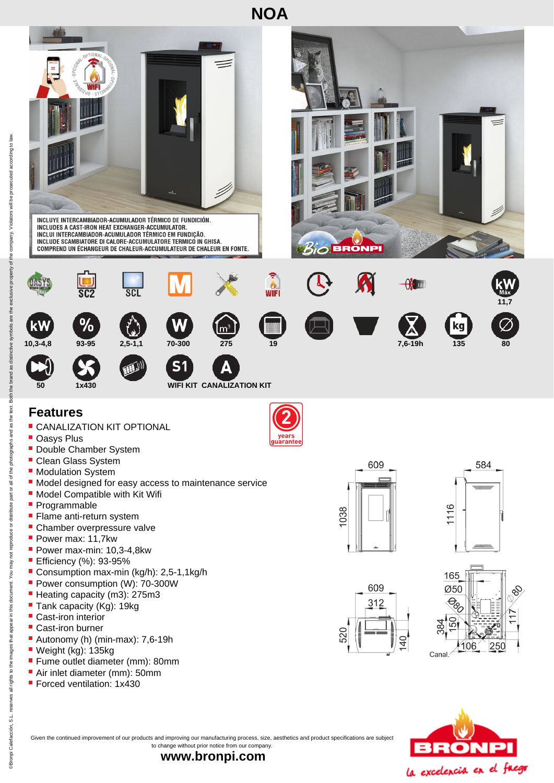



Given the continued improvement of our products and improving our manufacturing process, size, aesthetics and product specifications are subject to change without prior notice from our company.

**www.bronpi.com**

್ಯ

**Bronpi Calefacción** 

**Forced ventilation: 1x430**